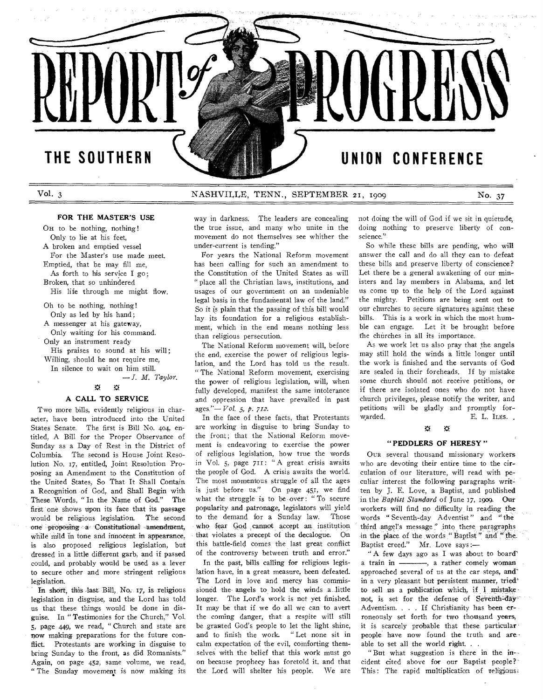**REP** 

# **THE SOUTHERN UNION CONFERENCE**

Vol. 3 NASHVILLE, TENN., SEPTEMBER 21, 1909 No. 37

## **FOR THE MASTER'S USE**

On to be nothing, nothing! Only to lie at his feet, A broken and emptied vessel For the Master's use made meet. Emptied, that he may fill me, As forth to his service I go; Broken, that so unhindered His life through me might flow.

Oh to be nothing, nothing! Only as led by his hand; A messenger at his gateway,

Only waiting for his command.

Only an instrument ready

His praises to sound at his will; Willing, should he not require me,

In silence to wait on him still.

*— T. M. Taylor.* 

#### $\tilde{\mathbf{u}}$ 賽

## **A CALL TO SERVICE**

Two more bills, evidently religious in character, have been introduced into the United States Senate. The first is Bill No. 404, entitled, A Bill for the Proper Observance of Sunday as a Day of Rest in the District of Columbia. The second is House Joint Resolution No. 17, entitled, Joint Resolution Proposing an Amendment to the Constitution of the United States, So That It Shall Contain a Recognition of God, and Shall Begin with These Words, " In the Name of God." The first one shows upon its face that its passage would be religious legislation. The second one proposing a-Constitutional amendment, while mild in tone and innocent in appearance, is also proposed religious legislation, but dressed in a little different garb, and if passed could, and probably would be used as a lever to secure other and more stringent religious legislation.

In short, this last Bill, No,. 17, is religious legislation in disguise, and the Lord has told us that these things would be done in disguise. In " Testimonies for the Church," Vol. 5, page 449, we read, " Church and state are now making preparations for the future conflict. Protestants are working in disguise to bring Sunday to the front, as did Romanists." Again, on page 452, same volume, we read, " The Sunday movement is now making its way in darkness. The leaders are concealing the true issue, and many who unite in the movement do not themselves see whither the under-current is tending."

For years the National Reform movement has been calling for such an amendment to the Constitution of the United States as will " place all the Christian laws, institutions, and usages of our government on an undeniable legal basis in the fundamental law of the land." So it is plain that the passing of this bill would lay its foundation for a religious establishment, which in the end means nothing less than religious persecution.

The National Reform movement will, before the end, exercise the power of religious legislation, and the Lord has told us the result. " The National Reform movement, exercising the power of religious legislation, will, when fully developed, manifest the same intolerance and oppression that have prevailed in past ages."— *Vol. 5, p. 712.* 

In the face of these facts, that Protestants are working in disguise to bring Sunday to the front; that the National Reform movement is endeavoring to exercise the power of religious legislation, how true the words in Vol. 5, page 711: " A great crisis awaits the people of God. A crisis awaits the world. The most momentous struggle of all the ages is just before us." On page 451, we find what the struggle is to be over: " To secure popularity and patronage, legislators will yield to the demand for a Sunday law. Those who fear God cannot accept an institution that violates a precept of the decalogue. On this battle-field comes the last great conflict of the controversy between truth and error."

In the past, bills calling for religious legislation have, in a great measure, been defeated. The Lord in love and mercy has commissioned the angels to hold the winds a little longer. The Lord's work is not yet finished. It may be that if we do all we can to avert the coming danger, that a respite will still be granted God's people to let the light shine, and to finish the work "Let none sit in calm expectation of the evil, comforting themselves with the belief that this work must go on because prophecy has foretold it. and that the Lord will shelter his people. We are

not doing the will of God if we sit in quietude, doing nothing to preserve liberty of conscience."

So while these bills are pending, who will answer the call and do all they can to defeat these bills and preserve liberty of conscience? Let there be a general awakening of our ministers and lay members in Alabama, and let us come up to the help of the Lord against the mighty. Petitions are being sent out to our churches to secure signatures against these bills. This is a work in which the most humble can engage. Let it be brought before fhe churches in all its importance.

As we work let us also pray that the angels may still hold the winds a little longer until the work is finished and the servants of God are sealed in their foreheads. If by mistake some church should not receive petitions, or if there are isolated ones who do not have church privileges, please notify the writer, and petitions will be gladly and promptly forwarded. E. L. ILES.

#### ₩ ₩

#### **" PEDDLERS OF HERESY "**

OUR several thousand missionary workers who are devoting their entire time to the circulation of our literature, will read with peculiar interest the following paragraphs written by J. E. Love, a Baptist, and published in the *Baptist Standard* of June 37, 1909. Out workers will find no difficulty in reading the words " Seventh-day Adventist" and "the third angel's message" into these paragraphs in the place of the words "Baptist" and "the Baptist creed." Mr. Love says:—

" A few days ago as I was about to board' a train in  $\frac{1}{\sqrt{2}}$ , a rather comely woman approached several of us at the car steps, and" in a very pleasant but persistent manner, tried' to sell us a publication which, if I mistakenot, is set for the defense of Seventh-day-Adventism. . . . If Christianity has been erroneously set forth for two thousand years, it is scarcely probable that these particular people have now found the truth and areable to set all the world right. . .

"But what suggestion is there in the incident cited above for our Baptist people?' This: The rapid multiplication of teligious;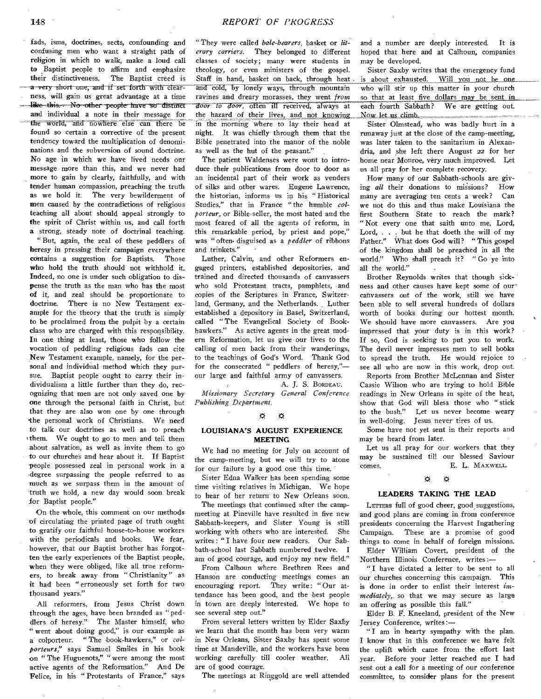fads, isms, doctrines, sects, confounding and confusing men who want a straight path of religion in which to walk, make a loud call to Baptist people to affirm and emphasize their distinctiveness. The Baptist creed is a very short one, and if set forth with clearness, will gain us great advantage at a time like this. No other people have so distinct and individual a note in their message for the world, and nowhere else can there be found so certain a corrective of the present tendency toward the multiplication of denominations and the subversion of sound doctrine. No age in which we have lived needs our message more than this, and we never had more to gain by clearly, faithfully, and with tender human compassion, preaching the truth as we hold it. The very bewilderment of men caused by the contradictions of religious teaching all about should appeal strongly to the spirit of Christ within us, and call forth a strong, steady note of doctrinal teaching.

"But, again, the zeal of these peddlers of heresy in pressing their campaign everywhere contains a suggestion for Baptists. Those who hold the truth should not withhold it. Indeed, no one is under such obligation to dispense the truth as the man who has the most of it, and zeal should be proportionate to doctrine. There is no New Testament example for the theory that the truth is simply to be proclaimed from the pulpit by a certain class who are charged with this responsibility. In one thing at least, those who follow the vocation of peddling religious fads can cite New Testament example, namely, for the personal and individual method which they pursue. Baptist people ought to carry their individualism a little further than they do, recognizing that men are not only saved one by one through the personal faith in Christ, but that they are also won one by one through the personal work of Christians. We need to talk our doctrines as well as to preach ythem. We ought to go to men and tell them about salvation, as well as invite them to go to our churches and hear about it. If Baptist people possessed zeal in personal work in a degree surpassing the people referred to as much as we surpass them in the amount of truth we hold, a new day would soon break for Baptist people."

On the whole, this comment on our methods of circulating the printed page of truth ought to gratify our faithful house-to-house workers with the periodicals and books. We fear, however, that our Baptist brother has forgotten the early experiences of the Baptist people, when they were obliged, like all true reformers, to break away from " Christianity" as it had been " erroneously set forth for two thousand years."

All reformers, from Jesus Christ down through the ages, have been branded as "peddlers of heresy." The Master himself, who " went about doing good," is our example as a colporteur. " The book-hawkers," or *colporteurs,"* says Samuel Smiles in his book on " The Huguenots," "were among the most active agents of the Reformation." And De Felice, in his "Protestants of France," says

" They were called *bale-bearers,* basket or *literary carriers.* They belonged to different classes of society; many were students in theology, or even ministers of the gospel. Staff in hand, basket on back, through heat . and cold, by lonely ways, through mountain ravines and dreary morasses, they went *from Toor to door,* Often ill received, always at the hazard of their lives, and not knowing in the morning where to lay their head at night. It was chiefly through them that the Bible penetrated into the manor of the noble as well as the hut of the peasant."

The patient Waldenses were wont to introduce their publications from door to door as an incidental part of their work as venders of silks and other wares. Eugene Lawrence, the historian, informs us in his " Historical Studies," that in France " the humble *colporteur,* or Bible-seller, the most hated and the most feared of all the agents of reform, in this remarkable period, by priest and pope," was " often. disguised as a *peddler* of ribbons and trinkets."

Luther, Calvin, and other Reformers engaged printers, established depositories, and trained and directed thousands of canvassers who sold Protestant tracts, pamphlets, and copies of the Scriptures in France, Switzerland, Germany, and the Netherlands. Luther established a depository in Basel, Switzerland, called " The Evangelical Society of Bookhawkers." As active agents in the great modern Reformation, let us give our lives to the calling of men back from their wanderings, to the teachings of God's Word. Thank God for the consecrated " peddlers of heresy," our large and faithful army of canvassers.

A. J. S. BORDEAU. *Missionary Secretary General Conference Publishing Department.* 

#### E rE

## **LOUISIANA'S AUGUST EXPERIENCE MEETING**

WE had no meeting for July on account of the camp-meeting, but we will try to atone for our failure by a good one this time.

Sister Edna Walker has been spending some time visiting relatives in Michigan. We hope to hear of her return' to New Orleans soon.

The meetings that continued after the campmeeting at Pineville have resulted in five new Sabbath-keepers, and Sister Young is still working with others who are interested. She writes : " I have four new readers. Our Sabbath-school last Sabbath numbered twelve. I am of good courage, and enjoy my new field."

From Calhoun where Brethren Rees and Hanson are conducting meetings comes an encouraging report. They write: "Our at-They write: "Our attendance has been good, and the best people in town are deeply interested. We hope to see several step out."

From several letters written by Elder Saxby we learn that the month has been very warm in New Orleans, Sister Saxby has spent some time at Mandeville, and the workers have been working carefully till cooler weather. All are of good courage.

The meetings at Ringgold are well attended

and a number are deeply interested. It is hoped that here and at Calhoun, companies may be developed.

Sister Saxby writes that the emergency fund is about exhausted. Will you not be one who will stir up this matter in your church so that at least five dollars may, be sent in each fourth Sabbath? We are getting out. Now let us climb

Sister Olmstead, who was badly hurt in a runaway just at the close of the camp-meeting, was later taken to the sanitarium in Alexandria, and she left there August 22 for her home near Monroe, very much improved. Let us all pray for her complete recovery.

How many of our Sabbath-schools are giving *all* their donations to missions? How many are averaging ten cents a week? Can we not do this and thus make Louisiana the first Southern State to reach the mark? "Not every one that saith unto me, Lord, Lord, . . . but he that doeth the will of my Father." What does God will? " This gospel of the kingdom shall be preached in all the world." Who shall preach it? "Go ye into Who shall preach it? " Go ye into all the world."

Brother Reynolds writes that though sickness and other causes have kept some of our` canvassers out of the work, still we have been able to sell several hundreds of dollars worth of books during our hottest month. We should have more canvassers. Are you impressed that your duty is in this work? If so, God is seeking to put you to work. The devil never impresses men to sell books to spread the truth. He would rejoice to see all who are now in this work, drop out.

Reports from Brother McLennan and Sister Cassie Wilson who are trying to hold Bible readings in New Orleans in spite of the heat, show that God will bless those who " stick to the bush." Let us never become weary in well-doing. Jesus never tires of us.

Some have not yet sent in their reports and may be heard from later.

Let us all pray for our workers that they may be sustained till our blessed Saviour comes. E. L. MAXWELL.

#### $\widetilde{\mathbf{x}}$  $\alpha$

#### **LEADERS TAKING THE LEAD**

LETTERS full of good cheer, good suggestions, and good plans are coming in from conference presidents concerning the Harvest Ingathering Campaign. These are a promise of good things to come in behalf of foreign missions. Elder William Covert, president of the Northern Illinois Conference, writes

"I have dictated a letter to be sent to all our churches concerning this campaign. This is done in order to enlist their interest *immediately,,* so that we may secure as large an offering as possible this fall."

Elder B. F. Kneeland, president of the New Jersey Conference, writes :—

"I am in hearty sympathy with the plan. I know that in this conference we have felt the uplift which came from the effort last year. Before your letter reached me I had sent out a call for a meeting of our conference committee, to consider plans for the present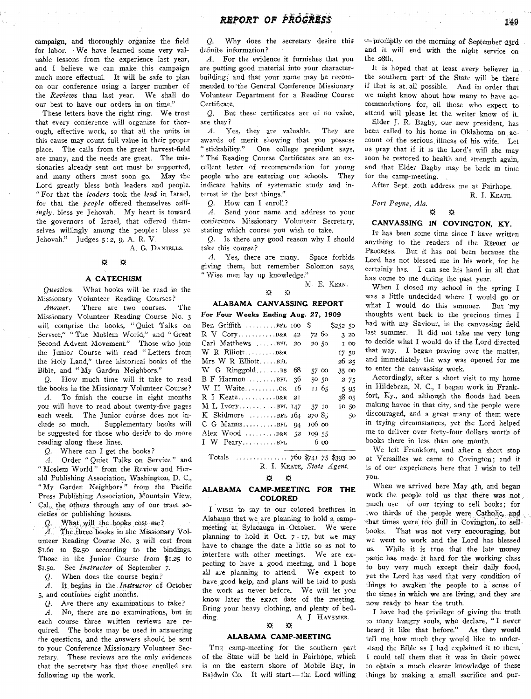campaign, and thoroughly organize the field for labor. We have learned some very valuable lessons from the experience last year, and I believe we can make this campaign much more effectual. It will be safe to plan on our conference using a larger number of the *Reviews* than last year. We shall do our best to have our orders in on time."

These letters have the right ring. We trust that every conference will organize for thorough, effective work, so that all the units in this cause may count full value in their proper place. The calls from the great harvest-field are many, and the needs are great. The missionaries already sent out must be supported, and many others must soon go. May the Lord greatly bless both leaders and people. " For that the *leaders* took the *lead* in Israel, for that the *people* offered themselves *willingly,* bless ye Jehovah. My heart is toward the governors of Israel, that offered themselves willingly among the people: bless ye Jehovah." Judges 5:2, 9, A. R. V.

A. G. DANIELLS.

#### ×  $\ddot{\Omega}$

## A **CATECHISM**

*Question.* What books will be read in the Missionary Volunteer Reading Courses?

*Answer.* There are two courses. The Missionary Volunteer Reading Course No. 3 will comprise the books, "Quiet Talks on Service," "The Moslem World," and " Great Second Advent Movement." Those who join the Junior Course will read "Letters from the Holy Land," three historical books of the Bible, and "My Garden Neighbors."

*Q.* How much time will it take to read the hooks in the Missionary Volunteer Course?

*A.* To finish the course in eight months you will have to read about twenty-five pages each week. The Junior course does not include so much. Supplementary books will be suggested for those who desire to do more reading along these lines.

*Q.* Where can I get the books?

*A.* Order " Quiet Talks on Service" and " Moslem World" from the Review and Herald Publishing Association, Washington, D. C., " My Garden Neighbors" from the Pacific Press Publishing Association, Mountain View, Cal, the others through any:of our tract societies or publishing houses.

*Q.* What will, the books cost me?

A. The three books in the Missionary Volunteer Reading Course No. 3 will cost from \$1.6o to \$2.50 according to the bindings. Those in the Junior Course from \$1.25 to \$1.5o. See *Instructor* of September *7.* 

*Q.* When does the course begin?

*A.* It begins in the *Instructor* of October 5, and continues eight months.

Q. Are there any examinations to take?

*A.* No, there are no examinations, but in each course three written reviews are required. The books may be used in answering the questions, and the answers should be sent to your Conference Missionary Volunteer Secretary. These reviews are the only evidences that the secretary has that those enrolled are following up the work.

*Q.* Why does the secretary desire this definite information?

*A.* For the evidence it furnishes that you are putting good material into your character building; and that your name may be recommended to the General Conference Missionary Volunteer Department for a Reading Course Certificate.

*Q,* But these certificates are of no value, are they?

*A.* Yes, they are valuable. They are awards of merit showing that you possess " stickability." One college president says, " The Reading Course Certificates are an excellent letter of recommendation for young people who are entering our schools. They indicate habits of systematic study and interest in the best things."

*Q.* How can I enroll?

*A.* Send your name and address to your conference Missionary Volunteer Secretary, stating which course you wish to take.

*Q.* Is there any good reason why I should take this course?

*A.* Yes, there are many. Space forbids giving them, but remember Solomon says; " Wise men lay up knowledge."

M. E. KERN.

#### $\widetilde{\mathcal{M}}$

## **ALABAMA CANVASSING REPORT**

 $\alpha$ 

| For Four Weeks Ending Aug. 27, 1909 |    |             |         |  |
|-------------------------------------|----|-------------|---------|--|
| $Ben$ Griffith $ \dots . BFL$ 100   |    | \$          | \$25250 |  |
|                                     |    | 72 60       | 320     |  |
| $Carl$ Matthews $\ldots$ $BFL$ 20   |    | 20 50       | I 00    |  |
| W R Elliott D&R                     |    |             | 17 50   |  |
| $Mrs$ W R Elliott $BFL$             |    |             | 26 25   |  |
| $W$ G Ringgold BS                   | 68 | 57 00       | 35 00   |  |
| B F HarmonBFL                       | 36 | 50 50       | 2 75    |  |
| W H Waiteck                         | 16 | 11 65       | 5 9 5   |  |
|                                     | 21 |             | 38 os   |  |
| $M$ L IvoryBFL 147                  |    | 37 10       | 10 50   |  |
| K Skidmore $\dots \dots$ BFL $164$  |    | 270 85      | 50      |  |
| $C$ G MannsBFL 94                   |    | 106 00      |         |  |
| Alex Wood $\dots \dots$ D&R 52      |    | 109 55      |         |  |
| I W Peary $BFL$                     |    | $6\,\omega$ |         |  |

Totals  $\ldots \ldots \ldots \ldots \ldots$  760 \$741 75 \$393 20 R. I. KEATE, *State Agent.* 

## $\mathfrak{B}=\mathfrak{B}$

## **ALABAMA CAMP-MEETING FOR THE COLORED**

I WISH to say to our colored brethren in Alabama that we are planning to hold a campmeeting at Sylacauga in. October. We were planning to hold it Oct. 7 - 17, but we may have to change the date a little so as not to interfere with other meetings. We are expecting to have a good meeting, and I hope all are planning to attend. We expect to have good kelp, and plans will be laid to push the work as never before. We will let you know later the exact date of the meeting. Bring your heavy clothing, and plenty of bedding.  $A. J. Haysmer.$ 

## $\alpha$

#### **ALABAMA CAMP-MEETING**

THE camp-meeting for **the southern** part of the State will be held in Fairhope, which is on the eastern shore of Mobile Bay, in Baldwin Co. It will start — the Lord willing •--promptly on the morning of September .23rd and it will end with the night service on the 28th.

It is hoped that at least every believer in the southern part of the State will be there if that is at. all possible. And in order that we might know about how many to have accommodations for, all those who expect to attend will please let the writer know of it.

Elder J. R. Bagby, our new president, has been called to his home in Oklahoma on account of the serious illness of his wife. Let us pray that if it is the Lord's will she may soon be restored to health and strength again, and that Elder Bagby may be back in time for the camp-meeting.

After Sept. 20th address me at Fairhope. R. J. KEATE.

*Fort Payne, Ala.*  ×

# **CANVASSING IN COVINGTON, KY.**

賽

IT has been some time since I have written anything to the readers of the REPORT OF PROGRESS. But it has not been because the Lord has not blessed me in his work, for he certainly has. I can see his hand in all that has come to me during the past year.

When I closed my school in the spring I was a little undecided where I would go or what I would do this summer. But 'my thoughts went back to the precious times I had with my Saviour, in the canvassing field last summer. It did not take me very long to decide what I would do if the Lord directed that way. I began praying over the matter, and immediately the way was opened for me to enter the canvassing work.

Accordingly, after a short visit to my home in Hildebran, N. C., I began work in Frankfort, Ky., and although the floods had been making havoc in that city, and the people were discouraged, and a great many of them were in trying circumstances, yet the Lord helped me to deliver over forty-four dollars worth of books there in less than one month.

We left Frankfort, and after a short stop at Versailles we came to Covington; and it is of our experiences here that I wish to tell you.

When we arrived here May 4th, and began work the people told us that there was not much use of our trying to sell books; for two thirds of the people were Catholic, and that times were too dull in Covington, to sell books. That was not very encouraging, but we went to work and the Lord has blessed us. While it is true that the late money panic has made it hard for the working class to buy very much except their daily food, yet the Lord has used that very condition of things to awaken the people to a sense of the times in which we are living, and they are now ready to hear the truth.

I have had the privilege of giving the truth to many hungry souls, who declare, "I never heard it like that before." As they would tell me how much they would like to understand the Bible as I had explained it to them, I could tell them that it was in their power to obtain a much clearer knowledge of these things by making a small sacrifice and pur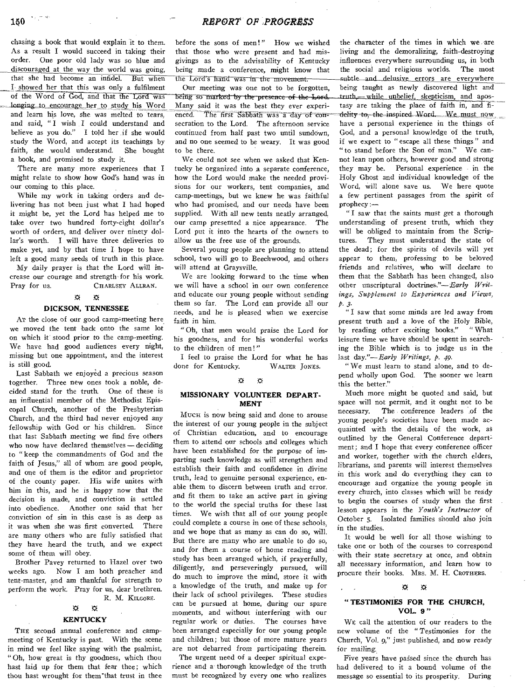chasing a book that would explain it to them. As a result I would succeed in taking their order. One poor old lady was so blue and discouraged at the way the world was going, that she had become an infidel. But when I showed her that this was only a fulfilment of the Word of God, and that the Lord was longing to encourage her to study his Word and learn his love, she was melted to tears, and said, "I wish I could understand and believe as you do." I told her if she would study the Word, and accept its teachings by faith, she would understand. She bought a book, and promised to study it.

There are many more experiences that I might relate to show how God's hand was in our coming to this place.

While my work in taking orders and delivering has not been just what I had hoped it might be, yet the Lord has helped me to take over two hundred forty-eight dollar's worth of orders, and deliver over ninety dollar's worth. I will have three deliveries to make yet, and by that time **I** hope to have left a good many seeds of truth in this place.

My daily prayer is that the Lord will increase our courage and strength for his work. Pray for us. CHARLSEY ALLRAN.

#### $\mathfrak{B}$   $\mathfrak{B}$

#### **DICKSON, TENNESSEE**

At the close of our good camp-meeting here we moved the tent back onto the same lot on which it stood prior to the camp-meeting. We have had good audiences every night, missing but one appointment, and the interest is still good.

Last Sabbath we enjoyed a precious season together. Three new ones took a noble, decided stand for the truth. One of these is an influential member of the Methodist Episcopal Church, another of the Presbyterian Church, and the third had never enjoyed any fellowship with God or his children. *Since*  that last Sabbath meeting we find five others who now have declared themselves — deciding to "keep the commandments of God and the faith of Jesus," all of whom are good people, and one of them is the editor and proprietor of the county paper. His wife unites with him in this, and he is happy now that the decision is made, and conviction is settled into obedience. Another one said that her conviction of sin in this case is as deep as it was when she was first converted. There are many others who are fully satisfied that they have heard the truth, and we expect some of them will obey.

Brother Pavey returned to Hazel over two weeks ago. Now I am both preacher and tent-master, and am thankful for strength to perform the work. Pray for us, dear brethren. R. M. KILGORE.

#### ₩ 双

#### **KENTUCKY**

THE second annual conference and campmeeting of Kentucky is past. With the scene in mind we feel like saying with the psalmist, Oh, how great is thy goodness, which thou hast laid up for them that fear thee; which thou hast wrought for them that trust in thee before the sons of men!" How we wished that those who were present and had misgivings as to the advisability of Kentucky being made a conference, might know that the Lord's hand was in the movement.

being so marked by the presence of the Lord. Many said it was the best they ever experienced. The first Sabbath was a day of consecration to the Lord. The afternoon service continued from half past two until sundown, and no one seemed to be weary. It was good to be there. **Our** meeting was one not to be forgotten,

We could not see when we asked that Kentucky be organized into a separate conference, how the Lord would make the needed provisions for our workers, tent companies, and camp-meetings, but we knew he was faithful who had promised, and our needs have been supplied. With all new tents neatly arranged, our camp presented a nice appearance. The Lord put it into the hearts of the owners to allow us the free use of the grounds.

Several young people are planning to attend school, two will go to Beechwood, and others will attend at Graysville.

We are looking forward to the time when we will have a school in our own conference and educate our young people without sending them so far. The Lord can provide all our needs, and he is pleased when we exercise faith in him.

"Oh, that men would praise the Lord for his goodness, and for his wonderful works to the children of men!"

I feel to praise the Lord for what he has<br>one for Kentucky. WALTER JONES. done for Kentucky.

#### ₩  $\breve{\mathbf{C}}$

## **MISSIONARY VOLUNTEER DEPART, MENT**

**Mucii** is now being said and done to arouse the interest of our young people in the subject of Christian education, and to encourage them to attend our schools and colleges which have been established for the purpose of imparting such knowledge as will strengthen and establish their faith and confidence in divine truth, lead to genuine personal experience, enable them to discern between truth and error. and fit them to take an active part in giving to the world the special truths for these last times. We wish that all of our young people could complete a course in one of these schools, and we hope that as many as can do so, will. But there are many who are unable to do so, and for them a course of home reading and study has been arranged which, if prayerfully, diligently, and perseveringly pursued, will do much to improve the mind, store it with a knowledge of the truth, and make up for their lack of school privileges. These studies can be pursued at home, during our spare moments, and without interfering with our regular work or duties. The courses have been arranged especially for our young people and children; but those of more mature years are not debarred from participating therein. The urgent need of a deeper spiritual expe-

rience and a thorough knowledge of the truth must be recognized by every one who realizes

the character of the times in which we are living and the demoralizing, faith-destroying influences everywhere surrounding us, in both the social and religious worlds. The most subtle and delusive errors are everywhere being taught as newly discovered light and truth, while unbelief, skepticism, and apostasy are taking the place of faith in, and fi delity-to;-the-inspired-Word. We must now have a personal experience in the things of God, and a personal knowledge of the truth, if we expect to " escape all these things " and " to stand before the Son of man." We cannot lean upon others, however good and strong they may be. Personal experience in the Holy Ghost and individual knowledge of the Word, will alone save us. We here quote a few pertinent passages from the spirit of prophecy:—

"I saw that the saints must get a thorough understanding of present truth, which they will be obliged to maintain from the Scriptures. They must understand the state of the dead; for the spirits of devils will yet appear to them, professing to he beloved friends and relatives, who will declare to them that the Sabbath has been changed, also other unscriptural doctrines."—Early *Writings, Supplement to Experiences and Views, P- 3-* 

*"* I saw that some minds are led away from present truth and a love of the Holy Bible, by reading other exciting books." " What leisure time we have should be spent in searching the Bible which is to judge us in the last *day."—Early Writings, p. 49.* 

*"We* must learn to stand alone, and to depend wholly upon God. The sooner we learn this the better."

Much more might be quoted and said, but space will not permit, and it ought not to be *necessary.* The conference leaders of the young people's societies have been made acquainted with the details of the work, as outlined by the General Conference department; and I hope that every conference officer and worker, together with the church elders, librarians, and parents will interest themselves in this work and do everything they can to encourage and organize the young people in every church, into classes which will be ready to begin the courses of study when the first lesson appears in the *Youth's Instructor* of October 5. Isolated families should also join in the studies.

It would be well for all those wishing to take one or both of the courses to correspond with their state secretary at once, and obtain all necessary information, and learn how to procure their books. MRS. M. H. CROTHERS.

# *0 0*

## **" TESTIMONIES FOR THE CHURCH, VOL. 9"**

WE call the attention of our readers to the new volume of the "Testimonies for the Church, Vol. g," just published, and now ready for mailing.

Five years have passed since the church has had delivered to it a bound volume of the message so essential to its prosperity. During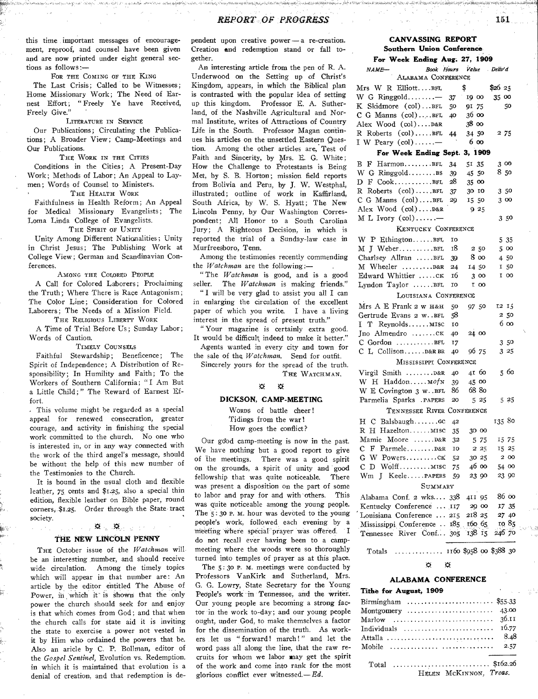this time important messages of encouragement, reproof, and counsel have been given and are now printed under eight general sections as follows

FOR THE COMING OF THE KING

The Last Crisis; Called to be Witnesses; Home Missionary Work; The Need of Earnest Effort; " Freely Ye have Received, Freely Give."

## LITERATURE IN SERVICE

Our Publications; Circulating the Publications; A Broader View; Camp-Meetings and Our Publications.

THE WORK IN THE CITIES

Conditions in the Cities; A Present-Day Work; Methods of Labor; An Appeal to Laymen; Words of Counsel to Ministers.

THE HEALTH WORK

Faithfulness in Health Reform; An Appeal for Medical Missionary Evangelists; The Loma Linda College of Evangelists.

THE SPIRIT OF UNITY

Unity Among Different Nationalities; Unity in Christ Jesus; The Publishing Work at College View; German and Scandinavian Conferences.

AMONG THE COLORED PEOPLE

A Call for Colored Laborers; Proclaiming the Truth; Where There is Race Antagonism; The Color Line; Consideration for Colored Laborers; The Needs of a Mission Field. THE RELIGIOUS LIBERTY WORK

A Time of Trial Before Us; Sunday Labor ; Words of Caution.

TIMELY COUNSELS

Faithful Stewardship; Beneficence; The Spirit of Independence; A Distribution of Responsibility; In Humility and Faith; To the Workers of Southern California; " I Am But a Little Child; " The Reward of Earnest Effort.

. This volume might be regarded as a special appeal for renewed consecration, greater courage, and activity in finishing the special work committed to the church. No one who is interested in, or in any way connected with the work of the third angel's message, should be without the help of this new number of the Testimonies to the Church.

It is bound in the usual cloth and flexible leather, 75 cents and \$1.25, also a special thin edition, flexible leather on Bible paper, round corners, \$1.25. Order through the State tract society.

## **THE NEW LINCOLN** PENNY

算法(算) 2017

THE October issue of the *Watchman* willbe an interesting number, and should receive wide circulation. Among the timely topics which will appear in that number are: An article by the editor entitled The Abuse of Power, in which it is shown that the only power the church should seek for and enjoy is that which comes from God; and that when the church calls for state aid it is inviting the state to exercise a power not vested in it by Him who ordained the powers that be. Also an aricle by C. P. Bollman, editor of the *Gospel Sentinel,* Evolution vs. Redemption. in which it is maintained that evolution is a denial of creation, and that redemption is de-

pendent upon creative power —a re-creation. Creation **end** redemption stand or fall together.

An interesting article from the pen of R. A. Underwood on the Setting up of Christ's Kingdom, appears, in which the Biblical plan is contrasted with the popular idea of setting up this kingdom. Professor E. A. Sutherland, of the Nashville Agricultural and Normal Institute, writes of Attractions of Country Life in the South. Professor Magan continues his articles on the unsettled Eastern Question. Among the other articles are, Test of Faith and Sincerity, by Mrs. E. G. White; How the Challenge to Protestants is Being Met, by S. B. Horton; mission field reports from Bolivia and Peru, by J. W. Westphal, illustrated; outline of work in Kaffirland, South Africa, by W. S. Hyatt; The New Lincoln Penny, by Our Washington Correspondent; All Honor to a South Carolina Jury; A Righteous Decision, in which is reported the trial of a Sunday-law case in Murfreesboro, Tenn.

Among the testimonies recently commending the *Watchman* are the following:—

" The *Watchman* is good, and is a good seller. The *Watchman* is making friends."

" I will be very glad to assist you all I can in enlarging the circulation of the excellent paper of which you write. I have a living interest in the spread of present truth."

" Your magazine is certainly extra good. It would be difficult indeed to make it better." Agents wanted in every city and town for

the sale of the *Watchman.* Send for outfit. Sincerely yours for the spread of the truth.

THE WATCHMAN.

#### $\mathfrak{B}=\mathfrak{B}$

#### **DICKSON, CAMP-MEETING**

WORDS of battle cheer ! Tidings from the war! How goes the conflict?

Our gdod camp-meeting is now in the past. We have nothing but a good report to give of The meetings. There was a good spirit on the grounds, a spirit of unity and good fellowship that was quite noticeable. There was present a disposition on the part of some to labor and pray for and with others. This was quite noticeable among the young people. The 5: 3o P. M. hour was devoted to the young people's work, followed each evening by a meeting where special prayer was offered. I do not recall ever having been to a campmeeting where the woods were so thoroughly turned into temples of prayer as at this place.

The  $5:30$  P. M. meetings were conducted by Professors VanKirk and Sutherland, Mrs. G. G. Lowry, State Secretary for the Young People's work in Tennessee, and the writer. Our young people are becoming a strong factor in the work to-day; and our young people ought, under God, to make themselves a factor for the dissemination of the truth. As workers let us " forward! march!" and let the word pass all along the line, that the raw recruits for whom we labor way get the spirit of the work and come into rank for the most glorious conflict ever witnessed. $-Ed$ .

# **CANVASSING REPORT Southern Union Conference**

| For Week Ending Aug. 27, 1909         |                  |         |         |                |
|---------------------------------------|------------------|---------|---------|----------------|
| <b>NAME-</b><br>ALABAMA CONFERENCE    | Book Hours Value |         |         | Deliv'd        |
| $Mrs$ W R Elliott $BrL$               |                  | \$      |         | \$2625         |
| W G Ringgold                          | 37               | 19 00   |         | 35 00          |
| K Skidmore (col)BFL                   | 50               | 91      | 75      | 50             |
| $C$ G Manns $(col)$ BFL               | 40               | 36 00   |         |                |
| Alex Wood (col)D&R                    |                  | 38 00   |         |                |
| R Roberts (col)BFL                    |                  | 34 50   |         | 2 75           |
| I W Peary $(col)$                     | 44               | 6 00    |         |                |
| For Week Ending Sept.                 |                  | 3, 1909 |         |                |
| в<br>F HarmonBFL                      |                  | 51 35   |         | 3 00           |
| W G RinggoldBS                        | 34               | 45 50   |         | 850            |
| $D$ $F$ $Cook$                        | 39<br>28         |         |         |                |
| R Roberts (col)BFL                    |                  | 35 00   |         |                |
|                                       | 37               | 30 10   |         | 350            |
| C G Manns (col)BFL                    | 29               | 15 50   |         | 3 00           |
| Alex Wood (col)D&R                    |                  |         | 9 25    |                |
| M L Ivory $\text{(col)} \dots \dots$  |                  |         |         | 350            |
| KENTUCKY CONFERENCE                   |                  |         |         |                |
| W P EthingtonBFL                      | 10               |         |         | 535            |
| M J WeberBFL                          | 18               |         | 250     | 5 00           |
| Charlsey Allran BFL                   | 39               |         | 8 00    | 450            |
| M Wheeler D&R                         | 24               |         | 14 50   | 150            |
| Edward Whittier CK                    | 16               |         | 3 00    | I 00           |
| Lyndon Taylor BFL                     | 10               |         | I 00    |                |
| LOUISIANA CONFERENCE                  |                  |         |         |                |
| Mrs A E Frank 2 w H&H                 | 50               |         | 97 50   | 12 I.          |
| Gertrude Evans 2 w. BFL               | 58               |         |         | 250            |
| T ReynoldsMISC<br>L                   | 10               |         |         | 6 00           |
| Jno Almendro CK                       | 40               |         | 24.00   |                |
| $C$ Gordon $\dots \dots \dots \dots$  | 17               |         |         | 3.50           |
| C L CollisonD&R BR                    | 40               |         | 96 75   | 325            |
| MISSISSIPPI CONFERENCE                |                  |         |         |                |
| Virgil Smith D&R                      | 40               |         | 41 60   | 5 60           |
| W H Haddon Mof N                      | 39               |         | 45 00   |                |
| W E Covington 3 w. . BFL              | 86               |         | 68 80   |                |
| Parmelia Sparks . PAPERS              | 20               |         | 5 25    | 5 25           |
| TENNESSEE RIVER CONFERENCE            |                  |         |         |                |
| H C BalsbaughGC                       | 42               |         |         | 135 80         |
| R H HazeltonMISC                      |                  |         | 30 00   |                |
|                                       | 35               |         |         |                |
| Mamie Moore D&R<br>$F$ Parmele $D&R$  | 32<br>10         |         | 5 75    | 15 75<br>15 25 |
| с<br>G W PowersCK                     |                  |         | $2\,25$ |                |
|                                       | 52               |         | 30 25   | 2 00           |
| D WolffMISC<br>C.<br>Wm J KeelePAPERS | 75               |         | 4600    | 54 00<br>23 90 |
|                                       | 59               |         | 23 90   |                |
|                                       | SUMMARY          |         |         |                |
| Alabama Conf. 2 wks 338               |                  |         | 411 95  | 86 00          |
| Kentucky Conference  117              |                  |         | 29 00   | 17 35          |
| Louisiana Conference  215             |                  |         | 218 25  | 27 40          |
| Mississippi Conference . 185 160 65   |                  |         |         | 10 85          |
| Tennessee River Conf 305 138 15       |                  |         |         | 246 70         |

Totals  $1.11150$  \$958 oo \$388 30

#### 疫 ₩

## **ALABAMA CONFERENCE**

#### **Tithe for August, 1909**

| Birmingham  \$55.33                                    |       |
|--------------------------------------------------------|-------|
| Montgomery $\dots\dots\dots\dots\dots\dots\dots$ 43.00 |       |
|                                                        |       |
|                                                        | 16.77 |
|                                                        |       |
|                                                        |       |
|                                                        |       |
| Total \$162.26                                         |       |
|                                                        |       |

HELEN MCKINNON. *Treas.*